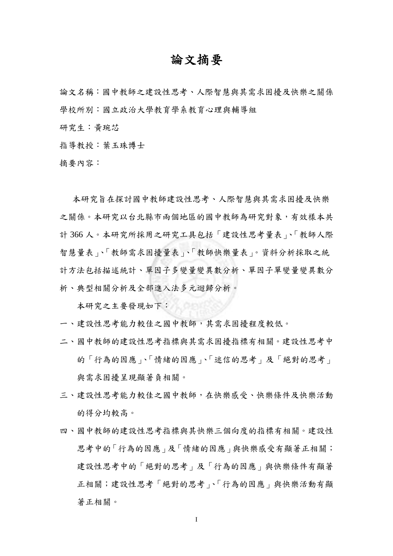## 論文摘要

論文名稱:國中教師之建設性思考、人際智慧與其需求困擾及快樂之關係 學校所別:國立政治大學教育學系教育心理與輔導組

研究生:黃琬芯

指導教授:葉玉珠博士

摘要內容:

 本研究旨在探討國中教師建設性思考、人際智慧與其需求困擾及快樂 之關係。本研究以台北縣市兩個地區的國中教師為研究對象,有效樣本共 計 366 人。本研究所採用之研究工具包括「建設性思考量表」、「教師人際 智慧量表」、「教師需求困擾量表」、「教師快樂量表」。資料分析採取之統 計方法包括描述統計、單因子多變量變異數分析、單因子單變量變異數分 析、典型相關分析及全部進入法多元迴歸分析。

本研究之主要發現如下:

- 一、建設性思考能力較佳之國中教師,其需求困擾程度較低。
- 二、國中教師的建設性思考指標與其需求困擾指標有相關。建設性思考中 的「行為的因應」、「情緒的因應」、「迷信的思考」及「絕對的思考」 與需求困擾呈現顯著負相關。
- 三、建設性思考能力較佳之國中教師,在快樂感受、快樂條件及快樂活動 的得分均較高。
- 四、國中教師的建設性思考指標與其快樂三個向度的指標有相關。建設性 思考中的「行為的因應」及「情緒的因應」與快樂感受有顯著正相關; 建設性思考中的「絕對的思考」及「行為的因應」與快樂條件有顯著 正相關;建設性思考「絕對的思考」、「行為的因應」與快樂活動有顯 著正相關。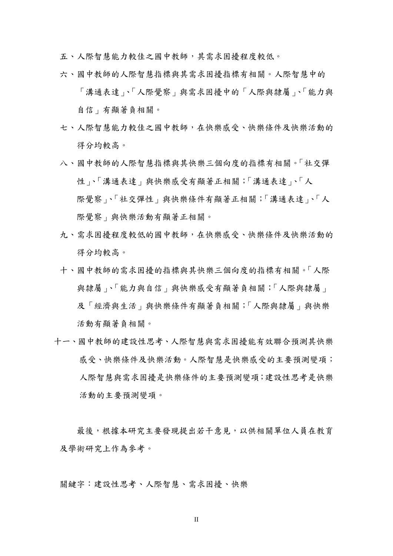五、人際智慧能力較佳之國中教師,其需求困擾程度較低。

- 六、國中教師的人際智慧指標與其需求困擾指標有相關。人際智慧中的 「溝通表達」、「人際覺察」與需求困擾中的「人際與隸屬」、「能力與 自信」有顯著負相關。
- 七、人際智慧能力較佳之國中教師,在快樂感受、快樂條件及快樂活動的 得分均較高。
- 八、國中教師的人際智慧指標與其快樂三個向度的指標有相關。「社交彈 性」、「溝通表達」與快樂感受有顯著正相關;「溝通表達」、「人 際覺察」、「社交彈性」與快樂條件有顯著正相關;「溝通表達」、「人 際覺察」與快樂活動有顯著正相關。
- 九、需求困擾程度較低的國中教師,在快樂感受、快樂條件及快樂活動的 得分均較高。
- 十、國中教師的需求困擾的指標與其快樂三個向度的指標有相關。「人際 與隸屬」、「能力與自信」與快樂感受有顯著負相關;「人際與隸屬」 及「經濟與生活」與快樂條件有顯著負相關;「人際與隸屬」與快樂 活動有顯著負相關。
- 十一、國中教師的建設性思考、人際智慧與需求困擾能有效聯合預測其快樂 感受、快樂條件及快樂活動。人際智慧是快樂感受的主要預測變項; 人際智慧與需求困擾是快樂條件的主要預測變項;建設性思考是快樂 活動的主要預測變項。

最後,根據本研究主要發現提出若干意見,以供相關單位人員在教育 及學術研究上作為參考。

關鍵字:建設性思考、人際智慧、需求困擾、快樂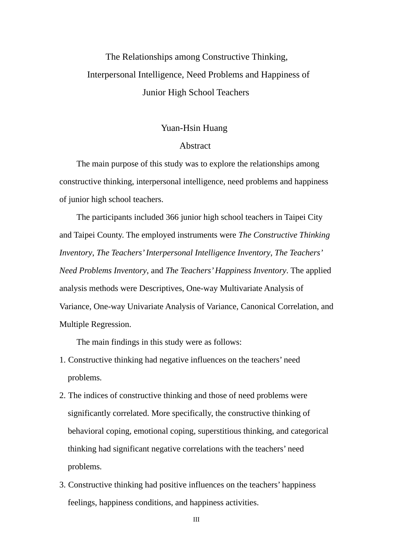## The Relationships among Constructive Thinking, Interpersonal Intelligence, Need Problems and Happiness of Junior High School Teachers

## Yuan-Hsin Huang

## Abstract

The main purpose of this study was to explore the relationships among constructive thinking, interpersonal intelligence, need problems and happiness of junior high school teachers.

The participants included 366 junior high school teachers in Taipei City and Taipei County. The employed instruments were *The Constructive Thinking Inventory*, *The Teachers' Interpersonal Intelligence Inventory*, *The Teachers' Need Problems Inventory*, and *The Teachers' Happiness Inventory*. The applied analysis methods were Descriptives, One-way Multivariate Analysis of Variance, One-way Univariate Analysis of Variance, Canonical Correlation, and Multiple Regression.

The main findings in this study were as follows:

- 1. Constructive thinking had negative influences on the teachers' need problems.
- 2. The indices of constructive thinking and those of need problems were significantly correlated. More specifically, the constructive thinking of behavioral coping, emotional coping, superstitious thinking, and categorical thinking had significant negative correlations with the teachers' need problems.
- 3. Constructive thinking had positive influences on the teachers' happiness feelings, happiness conditions, and happiness activities.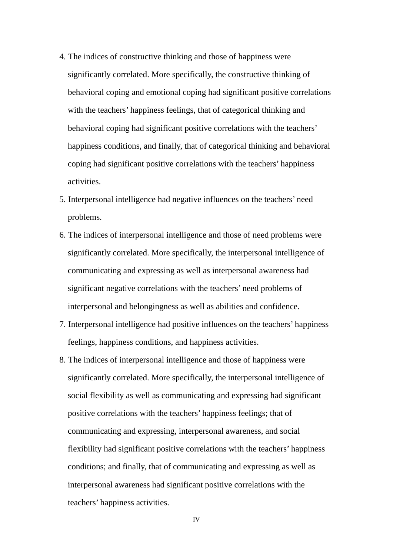- 4. The indices of constructive thinking and those of happiness were significantly correlated. More specifically, the constructive thinking of behavioral coping and emotional coping had significant positive correlations with the teachers' happiness feelings, that of categorical thinking and behavioral coping had significant positive correlations with the teachers' happiness conditions, and finally, that of categorical thinking and behavioral coping had significant positive correlations with the teachers' happiness activities.
- 5. Interpersonal intelligence had negative influences on the teachers' need problems.
- 6. The indices of interpersonal intelligence and those of need problems were significantly correlated. More specifically, the interpersonal intelligence of communicating and expressing as well as interpersonal awareness had significant negative correlations with the teachers' need problems of interpersonal and belongingness as well as abilities and confidence.
- 7. Interpersonal intelligence had positive influences on the teachers' happiness feelings, happiness conditions, and happiness activities.
- 8. The indices of interpersonal intelligence and those of happiness were significantly correlated. More specifically, the interpersonal intelligence of social flexibility as well as communicating and expressing had significant positive correlations with the teachers' happiness feelings; that of communicating and expressing, interpersonal awareness, and social flexibility had significant positive correlations with the teachers' happiness conditions; and finally, that of communicating and expressing as well as interpersonal awareness had significant positive correlations with the teachers' happiness activities.

IV